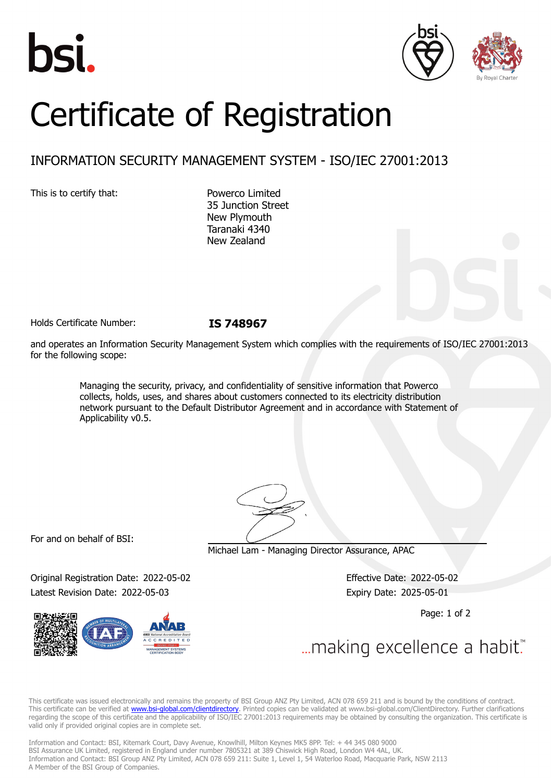





# Certificate of Registration

## INFORMATION SECURITY MANAGEMENT SYSTEM - ISO/IEC 27001:2013

This is to certify that: Powerco Limited

35 Junction Street New Plymouth Taranaki 4340 New Zealand

Holds Certificate Number: **IS 748967**

and operates an Information Security Management System which complies with the requirements of ISO/IEC 27001:2013 for the following scope:

Managing the security, privacy, and confidentiality of sensitive information that Powerco collects, holds, uses, and shares about customers connected to its electricity distribution network pursuant to the Default Distributor Agreement and in accordance with Statement of Applicability v0.5.

For and on behalf of BSI:

Michael Lam - Managing Director Assurance, APAC

Original Registration Date: 2022-05-02 Effective Date: 2022-05-02 Latest Revision Date: 2022-05-03 Expiry Date: 2025-05-01

Page: 1 of 2



... making excellence a habit.

This certificate was issued electronically and remains the property of BSI Group ANZ Pty Limited, ACN 078 659 211 and is bound by the conditions of contract. This certificate can be verified at [www.bsi-global.com/clientdirectory](http://www.bsi-global.com/clientdirectory). Printed copies can be validated at www.bsi-global.com/ClientDirectory. Further clarifications regarding the scope of this certificate and the applicability of ISO/IEC 27001:2013 requirements may be obtained by consulting the organization. This certificate is valid only if provided original copies are in complete set.

Information and Contact: BSI, Kitemark Court, Davy Avenue, Knowlhill, Milton Keynes MK5 8PP. Tel: + 44 345 080 9000 BSI Assurance UK Limited, registered in England under number 7805321 at 389 Chiswick High Road, London W4 4AL, UK. Information and Contact: BSI Group ANZ Pty Limited, ACN 078 659 211: Suite 1, Level 1, 54 Waterloo Road, Macquarie Park, NSW 2113 A Member of the BSI Group of Companies.